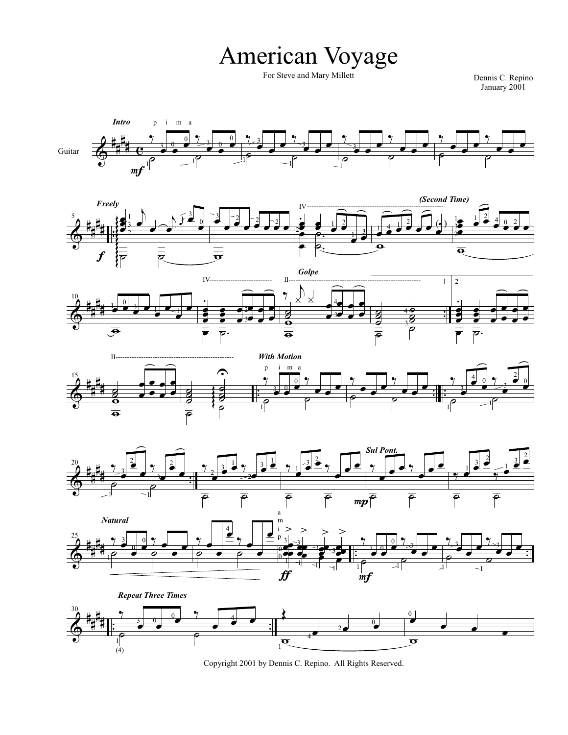## American Voyage

For Steve and Mary Millett Dennis C. Repino

January 2001



Copyright 2001 by Dennis C. Repino. All Rights Reserved.